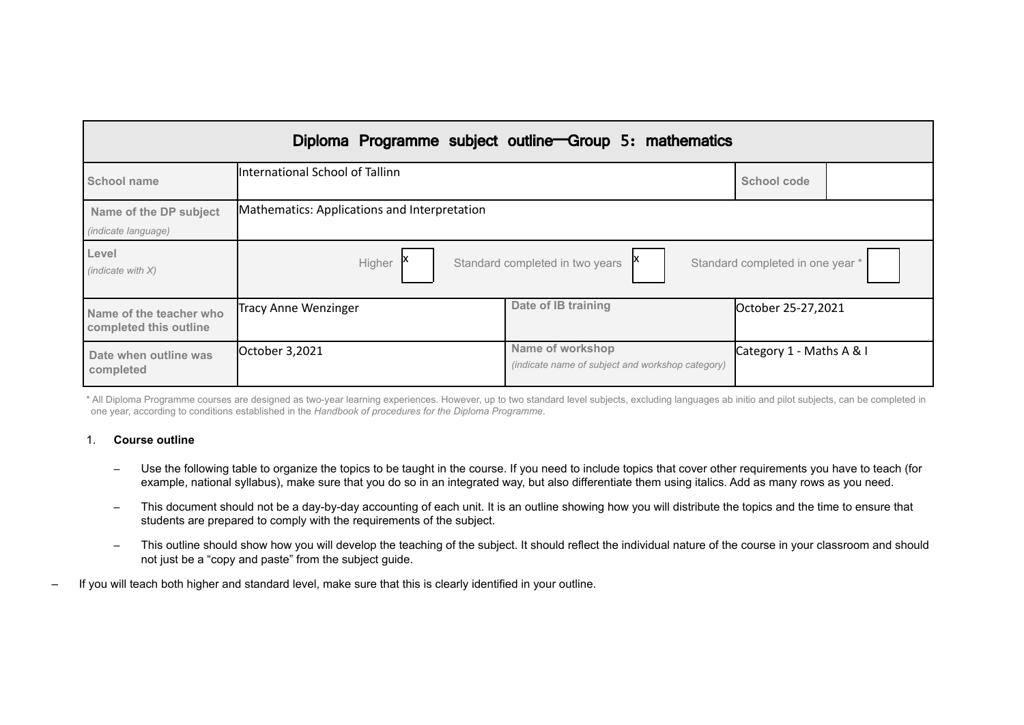|                                                      |                                                                               | Diploma Programme subject outline Group 5: mathematics               |                          |
|------------------------------------------------------|-------------------------------------------------------------------------------|----------------------------------------------------------------------|--------------------------|
| <b>School name</b>                                   | International School of Tallinn                                               |                                                                      | School code              |
| Name of the DP subject<br><i>(indicate language)</i> | Mathematics: Applications and Interpretation                                  |                                                                      |                          |
| Level<br>(indicate with $X$ )                        | Higher<br>Standard completed in two years<br>Standard completed in one year * |                                                                      |                          |
| Name of the teacher who<br>completed this outline    | Tracy Anne Wenzinger                                                          | Date of IB training                                                  | October 25-27,2021       |
| Date when outline was<br>completed                   | October 3,2021                                                                | Name of workshop<br>(indicate name of subject and workshop category) | Category 1 - Maths A & I |

\* All Diploma Programme courses are designed as two-year learning experiences. However, up to two standard level subjects, excluding languages ab initio and pilot subjects, can be completed in one year, according to conditions established in the *Handbook of procedures for the Diploma Programme*.

### 1. **Course outline**

- Use the following table to organize the topics to be taught in the course. If you need to include topics that cover other requirements you have to teach (for example, national syllabus), make sure that you do so in an integrated way, but also differentiate them using italics. Add as many rows as you need.
- This document should not be a day-by-day accounting of each unit. It is an outline showing how you will distribute the topics and the time to ensure that students are prepared to comply with the requirements of the subject.
- This outline should show how you will develop the teaching of the subject. It should reflect the individual nature of the course in your classroom and should not just be a "copy and paste" from the subject guide.
- If you will teach both higher and standard level, make sure that this is clearly identified in your outline.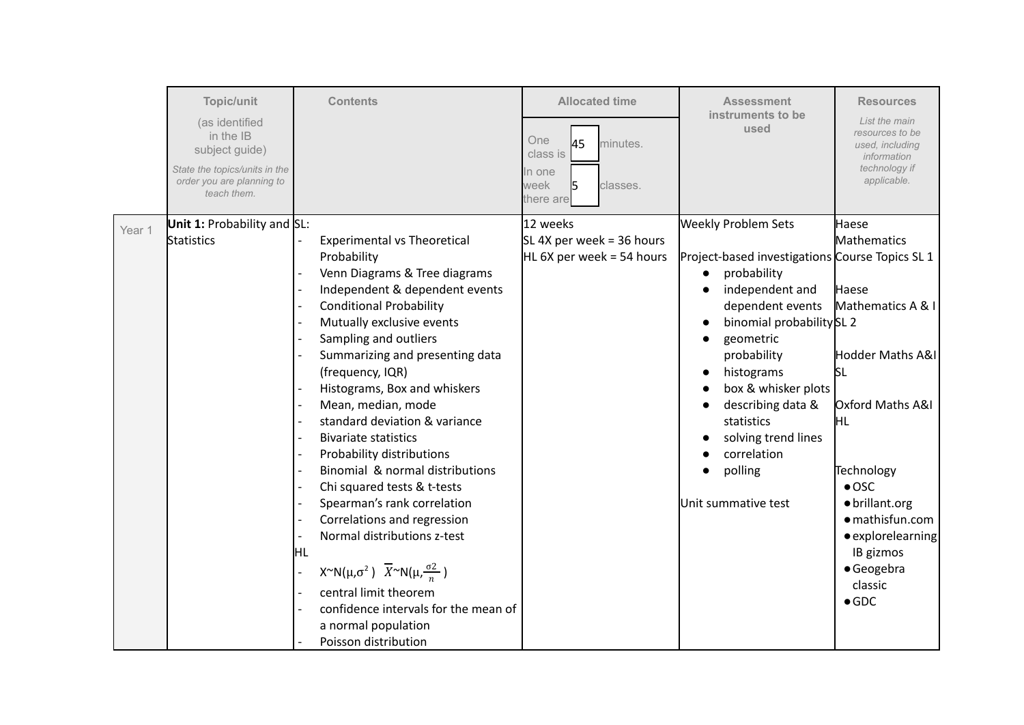|        | Topic/unit<br>(as identified<br>in the IB<br>subject guide)<br>State the topics/units in the<br>order you are planning to<br>teach them. | <b>Contents</b>                                                                                                                                                                                                                                                                                                                                                                                                                                                                                                                                                                                                                                                                                                                                                                         | <b>Allocated time</b><br>One<br>45<br>minutes.<br>class is<br>In one<br>week<br>classes.<br>there are | <b>Assessment</b><br>instruments to be<br>used                                                                                                                                                                                                                                                                                               | <b>Resources</b><br>List the main<br>resources to be<br>used, including<br>information<br>technology if<br>applicable.                                                                                                                                                |
|--------|------------------------------------------------------------------------------------------------------------------------------------------|-----------------------------------------------------------------------------------------------------------------------------------------------------------------------------------------------------------------------------------------------------------------------------------------------------------------------------------------------------------------------------------------------------------------------------------------------------------------------------------------------------------------------------------------------------------------------------------------------------------------------------------------------------------------------------------------------------------------------------------------------------------------------------------------|-------------------------------------------------------------------------------------------------------|----------------------------------------------------------------------------------------------------------------------------------------------------------------------------------------------------------------------------------------------------------------------------------------------------------------------------------------------|-----------------------------------------------------------------------------------------------------------------------------------------------------------------------------------------------------------------------------------------------------------------------|
| Year 1 | <b>Unit 1:</b> Probability and $SL:$<br>Statistics                                                                                       | <b>Experimental vs Theoretical</b><br>Probability<br>Venn Diagrams & Tree diagrams<br>Independent & dependent events<br><b>Conditional Probability</b><br>Mutually exclusive events<br>Sampling and outliers<br>Summarizing and presenting data<br>(frequency, IQR)<br>Histograms, Box and whiskers<br>Mean, median, mode<br>standard deviation & variance<br><b>Bivariate statistics</b><br>Probability distributions<br>Binomial & normal distributions<br>Chi squared tests & t-tests<br>Spearman's rank correlation<br>Correlations and regression<br>Normal distributions z-test<br>HL<br>$X^{\sim}N(\mu,\sigma^2)$ $\overline{X}^{\sim}N(\mu,\frac{\sigma^2}{n})$<br>central limit theorem<br>confidence intervals for the mean of<br>a normal population<br>Poisson distribution | 12 weeks<br>SL 4X per week = 36 hours<br>HL 6X per week = 54 hours                                    | <b>Weekly Problem Sets</b><br>Project-based investigations Course Topics SL 1<br>probability<br>independent and<br>dependent events<br>binomial probability SL 2<br>geometric<br>probability<br>histograms<br>box & whisker plots<br>describing data &<br>statistics<br>solving trend lines<br>correlation<br>polling<br>Unit summative test | Haese<br>Mathematics<br><b>Haese</b><br>Mathematics A & I<br>Hodder Maths A&I<br><b>SL</b><br>Oxford Maths A&I<br>ÌНL<br>Technology<br>$\bullet$ OSC<br>· brillant.org<br>· mathisfun.com<br>· explorelearning<br>IB gizmos<br>· Geogebra<br>classic<br>$\bullet$ GDC |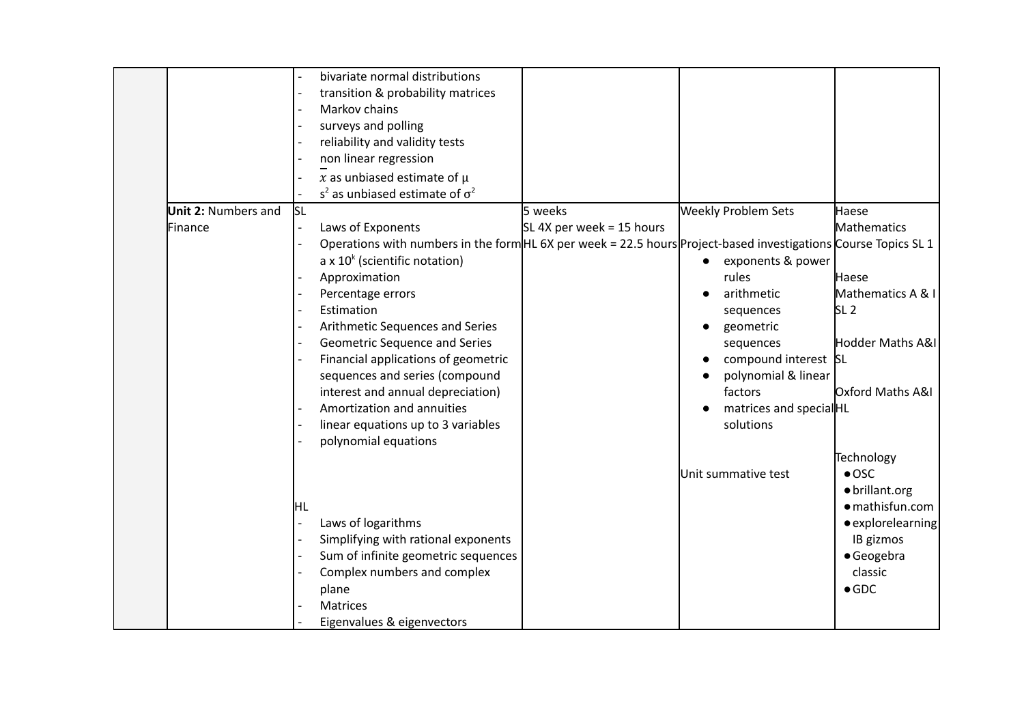|         |                            |                          | bivariate normal distributions                                                                                  |                           |                                |                   |
|---------|----------------------------|--------------------------|-----------------------------------------------------------------------------------------------------------------|---------------------------|--------------------------------|-------------------|
|         |                            |                          | transition & probability matrices                                                                               |                           |                                |                   |
|         |                            |                          | Markov chains                                                                                                   |                           |                                |                   |
|         |                            |                          | surveys and polling                                                                                             |                           |                                |                   |
|         |                            |                          | reliability and validity tests                                                                                  |                           |                                |                   |
|         |                            |                          | non linear regression                                                                                           |                           |                                |                   |
|         |                            |                          | x as unbiased estimate of $\mu$                                                                                 |                           |                                |                   |
|         |                            |                          | $s2$ as unbiased estimate of $\sigma2$                                                                          |                           |                                |                   |
|         | <b>Unit 2: Numbers and</b> | <b>SL</b>                |                                                                                                                 | 5 weeks                   | <b>Weekly Problem Sets</b>     | Haese             |
| Finance |                            | $\overline{\phantom{a}}$ | Laws of Exponents                                                                                               | SL 4X per week = 15 hours |                                | Mathematics       |
|         |                            |                          | Operations with numbers in the form HL 6X per week = 22.5 hours Project-based investigations Course Topics SL 1 |                           |                                |                   |
|         |                            |                          | a x $10^k$ (scientific notation)                                                                                |                           | exponents & power<br>$\bullet$ |                   |
|         |                            |                          | Approximation                                                                                                   |                           | rules                          | Haese             |
|         |                            |                          | Percentage errors                                                                                               |                           | arithmetic                     | Mathematics A & I |
|         |                            |                          | Estimation                                                                                                      |                           | sequences                      | SL <sub>2</sub>   |
|         |                            |                          | Arithmetic Sequences and Series                                                                                 |                           | geometric                      |                   |
|         |                            |                          | Geometric Sequence and Series                                                                                   |                           | sequences                      | Hodder Maths A&I  |
|         |                            |                          | Financial applications of geometric                                                                             |                           | compound interest SL           |                   |
|         |                            |                          | sequences and series (compound                                                                                  |                           | polynomial & linear            |                   |
|         |                            |                          | interest and annual depreciation)                                                                               |                           | factors                        | Oxford Maths A&I  |
|         |                            |                          | Amortization and annuities                                                                                      |                           | matrices and special HL        |                   |
|         |                            |                          | linear equations up to 3 variables                                                                              |                           | solutions                      |                   |
|         |                            |                          | polynomial equations                                                                                            |                           |                                |                   |
|         |                            |                          |                                                                                                                 |                           |                                | Technology        |
|         |                            |                          |                                                                                                                 |                           | Unit summative test            | $\bullet$ OSC     |
|         |                            |                          |                                                                                                                 |                           |                                | · brillant.org    |
|         |                            | ļΗL                      |                                                                                                                 |                           |                                | · mathisfun.com   |
|         |                            |                          | Laws of logarithms                                                                                              |                           |                                | · explorelearning |
|         |                            |                          | Simplifying with rational exponents                                                                             |                           |                                | IB gizmos         |
|         |                            |                          | Sum of infinite geometric sequences                                                                             |                           |                                | · Geogebra        |
|         |                            |                          | Complex numbers and complex                                                                                     |                           |                                | classic           |
|         |                            |                          | plane                                                                                                           |                           |                                | $\bullet$ GDC     |
|         |                            |                          | <b>Matrices</b>                                                                                                 |                           |                                |                   |
|         |                            |                          | Eigenvalues & eigenvectors                                                                                      |                           |                                |                   |
|         |                            |                          |                                                                                                                 |                           |                                |                   |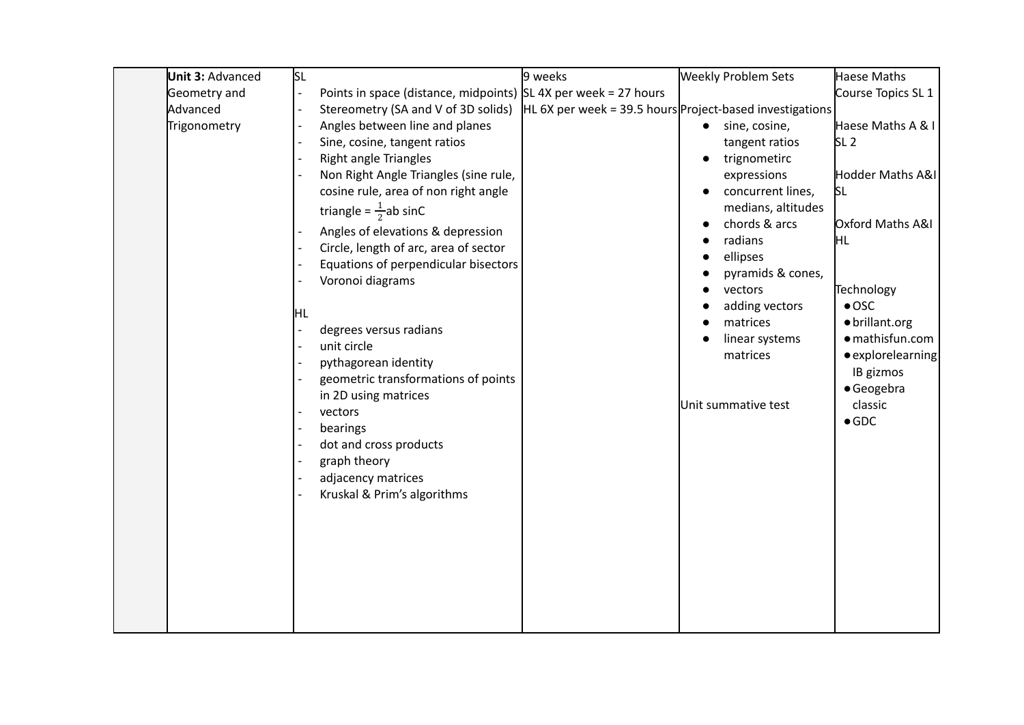| <b>Unit 3: Advanced</b> | İsl                                                                                                                                                                                                                                                                                                                                                                                                                                                                                                                                                                                                                       | 9 weeks | <b>Weekly Problem Sets</b>                                                                                                                                                                                                                                           | Haese Maths                                                                                                                                                                                                                              |
|-------------------------|---------------------------------------------------------------------------------------------------------------------------------------------------------------------------------------------------------------------------------------------------------------------------------------------------------------------------------------------------------------------------------------------------------------------------------------------------------------------------------------------------------------------------------------------------------------------------------------------------------------------------|---------|----------------------------------------------------------------------------------------------------------------------------------------------------------------------------------------------------------------------------------------------------------------------|------------------------------------------------------------------------------------------------------------------------------------------------------------------------------------------------------------------------------------------|
| Geometry and            | Points in space (distance, midpoints) $ SL 4X$ per week = 27 hours                                                                                                                                                                                                                                                                                                                                                                                                                                                                                                                                                        |         |                                                                                                                                                                                                                                                                      | Course Topics SL 1                                                                                                                                                                                                                       |
| Advanced                | Stereometry (SA and V of 3D solids)                                                                                                                                                                                                                                                                                                                                                                                                                                                                                                                                                                                       |         | $HL$ 6X per week = 39.5 hours Project-based investigations                                                                                                                                                                                                           |                                                                                                                                                                                                                                          |
| Trigonometry            | Angles between line and planes<br>Sine, cosine, tangent ratios<br><b>Right angle Triangles</b><br>Non Right Angle Triangles (sine rule,<br>cosine rule, area of non right angle<br>triangle = $\frac{1}{2}$ ab sinC<br>Angles of elevations & depression<br>Circle, length of arc, area of sector<br>Equations of perpendicular bisectors<br>Voronoi diagrams<br>HL<br>degrees versus radians<br>unit circle<br>pythagorean identity<br>geometric transformations of points<br>in 2D using matrices<br>vectors<br>bearings<br>dot and cross products<br>graph theory<br>adjacency matrices<br>Kruskal & Prim's algorithms |         | sine, cosine,<br>tangent ratios<br>trignometirc<br>expressions<br>concurrent lines,<br>medians, altitudes<br>chords & arcs<br>radians<br>ellipses<br>pyramids & cones,<br>vectors<br>adding vectors<br>matrices<br>linear systems<br>matrices<br>Unit summative test | Haese Maths A & I<br>SL <sub>2</sub><br>Hodder Maths A&I<br>SL<br>Oxford Maths A&I<br>HL<br>Technology<br>$\bullet$ OSC<br>· brillant.org<br>· mathisfun.com<br>· explorelearning<br>IB gizmos<br>· Geogebra<br>classic<br>$\bullet$ GDC |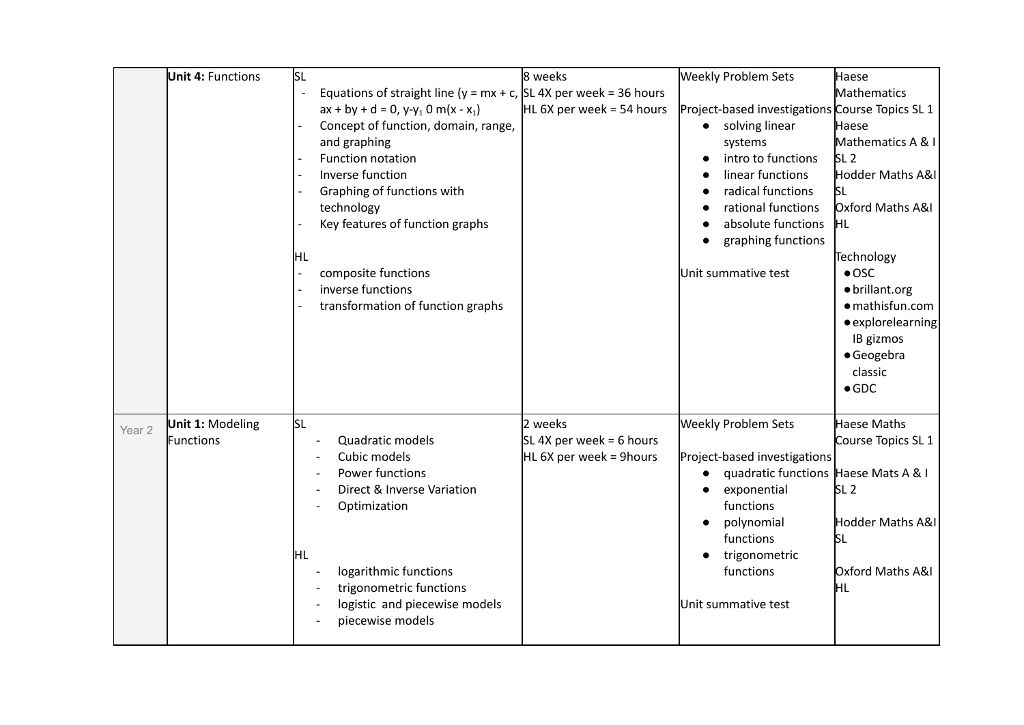|                   | <b>Unit 4: Functions</b>             | <b>SL</b>                                                                                                                                                                                                                                                                                                                                                                                               | 8 weeks                                                        | <b>Weekly Problem Sets</b>                                                                                                                                                                                                           | Haese                                                                                                                                                                                                                                                              |
|-------------------|--------------------------------------|---------------------------------------------------------------------------------------------------------------------------------------------------------------------------------------------------------------------------------------------------------------------------------------------------------------------------------------------------------------------------------------------------------|----------------------------------------------------------------|--------------------------------------------------------------------------------------------------------------------------------------------------------------------------------------------------------------------------------------|--------------------------------------------------------------------------------------------------------------------------------------------------------------------------------------------------------------------------------------------------------------------|
|                   |                                      | Equations of straight line ( $y = mx + c$ , SL 4X per week = 36 hours<br>$\overline{a}$<br>$ax + by + d = 0, y-y_1 0 m(x - x_1)$<br>Concept of function, domain, range,<br>and graphing<br>Function notation<br>Inverse function<br>Graphing of functions with<br>technology<br>Key features of function graphs<br>ļΗL<br>composite functions<br>inverse functions<br>transformation of function graphs | HL 6X per week = 54 hours                                      | Project-based investigations Course Topics SL 1<br>solving linear<br>systems<br>intro to functions<br>linear functions<br>radical functions<br>rational functions<br>absolute functions<br>graphing functions<br>Unit summative test | Mathematics<br>Haese<br>Mathematics A & I<br>SL <sub>2</sub><br>Hodder Maths A&I<br>ls∟<br>Oxford Maths A&I<br>HL.<br>Technology<br>$\bullet$ OSC<br>· brillant.org<br>· mathisfun.com<br>· explorelearning<br>IB gizmos<br>· Geogebra<br>classic<br>$\bullet$ GDC |
| Year <sub>2</sub> | <b>Unit 1: Modeling</b><br>Functions | <b>SL</b><br>Quadratic models<br>Cubic models<br>Power functions<br>Direct & Inverse Variation<br>Optimization<br>IHL<br>logarithmic functions<br>trigonometric functions<br>logistic and piecewise models<br>piecewise models                                                                                                                                                                          | 2 weeks<br>SL 4X per week = 6 hours<br>HL 6X per week = 9hours | <b>Weekly Problem Sets</b><br>Project-based investigations<br>quadratic functions Haese Mats A & I<br>exponential<br>functions<br>polynomial<br>functions<br>trigonometric<br>functions<br>Unit summative test                       | Haese Maths<br>Course Topics SL 1<br>SL <sub>2</sub><br>Hodder Maths A&I<br>ßL<br>Oxford Maths A&I<br>ĦΓ                                                                                                                                                           |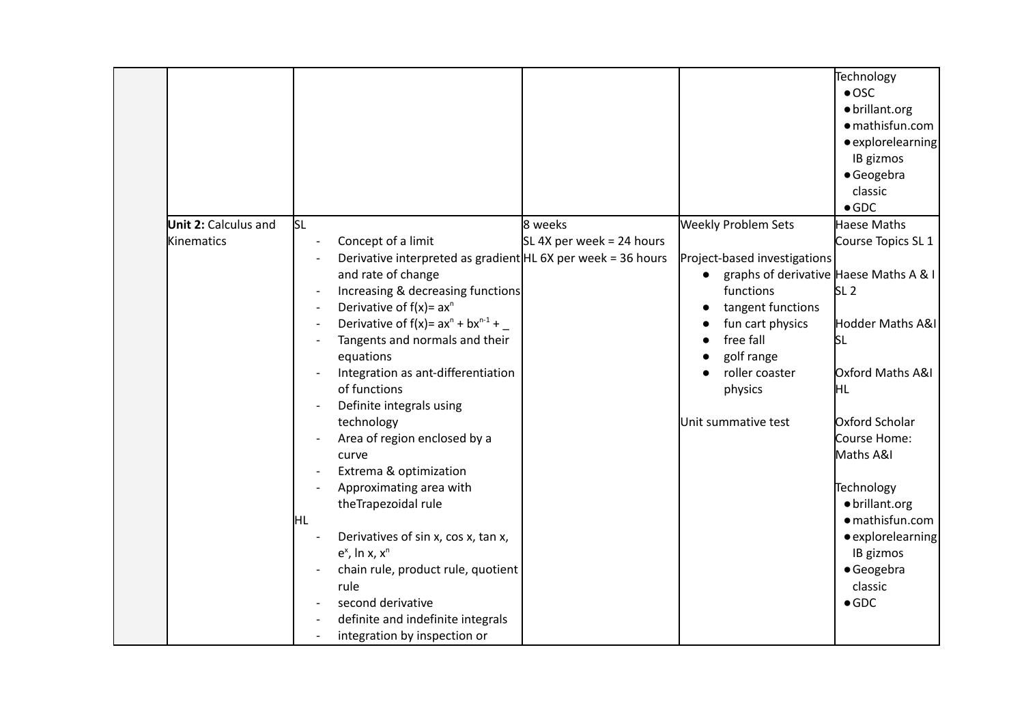|                             |                          |                                                                |                           |                                        | Technology         |
|-----------------------------|--------------------------|----------------------------------------------------------------|---------------------------|----------------------------------------|--------------------|
|                             |                          |                                                                |                           |                                        |                    |
|                             |                          |                                                                |                           |                                        | $\bullet$ OSC      |
|                             |                          |                                                                |                           |                                        | · brillant.org     |
|                             |                          |                                                                |                           |                                        | · mathisfun.com    |
|                             |                          |                                                                |                           |                                        | • explorelearning  |
|                             |                          |                                                                |                           |                                        | IB gizmos          |
|                             |                          |                                                                |                           |                                        | · Geogebra         |
|                             |                          |                                                                |                           |                                        | classic            |
|                             |                          |                                                                |                           |                                        | $\bullet$ GDC      |
| <b>Unit 2: Calculus and</b> | <b>SL</b>                |                                                                | 8 weeks                   | <b>Weekly Problem Sets</b>             | Haese Maths        |
| Kinematics                  |                          | Concept of a limit                                             | SL 4X per week = 24 hours |                                        | Course Topics SL 1 |
|                             |                          | Derivative interpreted as gradient $HL$ 6X per week = 36 hours |                           | Project-based investigations           |                    |
|                             |                          | and rate of change                                             |                           | graphs of derivative Haese Maths A & I |                    |
|                             |                          | Increasing & decreasing functions                              |                           | functions                              | SL <sub>2</sub>    |
|                             |                          | Derivative of $f(x) = ax^n$                                    |                           | tangent functions                      |                    |
|                             |                          | Derivative of $f(x) = ax^n + bx^{n-1} +$                       |                           | fun cart physics                       | Hodder Maths A&I   |
|                             | $\overline{\phantom{a}}$ | Tangents and normals and their                                 |                           | free fall                              | <b>SL</b>          |
|                             |                          | equations                                                      |                           | golf range                             |                    |
|                             |                          | Integration as ant-differentiation                             |                           | roller coaster                         | Oxford Maths A&I   |
|                             |                          | of functions                                                   |                           | physics                                | ļΗL                |
|                             |                          | Definite integrals using                                       |                           |                                        |                    |
|                             |                          | technology                                                     |                           | Unit summative test                    | Oxford Scholar     |
|                             |                          | Area of region enclosed by a                                   |                           |                                        | Course Home:       |
|                             |                          | curve                                                          |                           |                                        | Maths A&I          |
|                             |                          | Extrema & optimization                                         |                           |                                        |                    |
|                             |                          | Approximating area with                                        |                           |                                        | Technology         |
|                             |                          |                                                                |                           |                                        |                    |
|                             |                          | theTrapezoidal rule                                            |                           |                                        | · brillant.org     |
|                             | ļΗL                      |                                                                |                           |                                        | · mathisfun.com    |
|                             |                          | Derivatives of sin x, cos x, tan x,                            |                           |                                        | • explorelearning  |
|                             |                          | $e^x$ , In x, $x^n$                                            |                           |                                        | IB gizmos          |
|                             |                          | chain rule, product rule, quotient                             |                           |                                        | · Geogebra         |
|                             |                          | rule                                                           |                           |                                        | classic            |
|                             |                          | second derivative                                              |                           |                                        | $\bullet$ GDC      |
|                             |                          | definite and indefinite integrals                              |                           |                                        |                    |
|                             |                          | integration by inspection or                                   |                           |                                        |                    |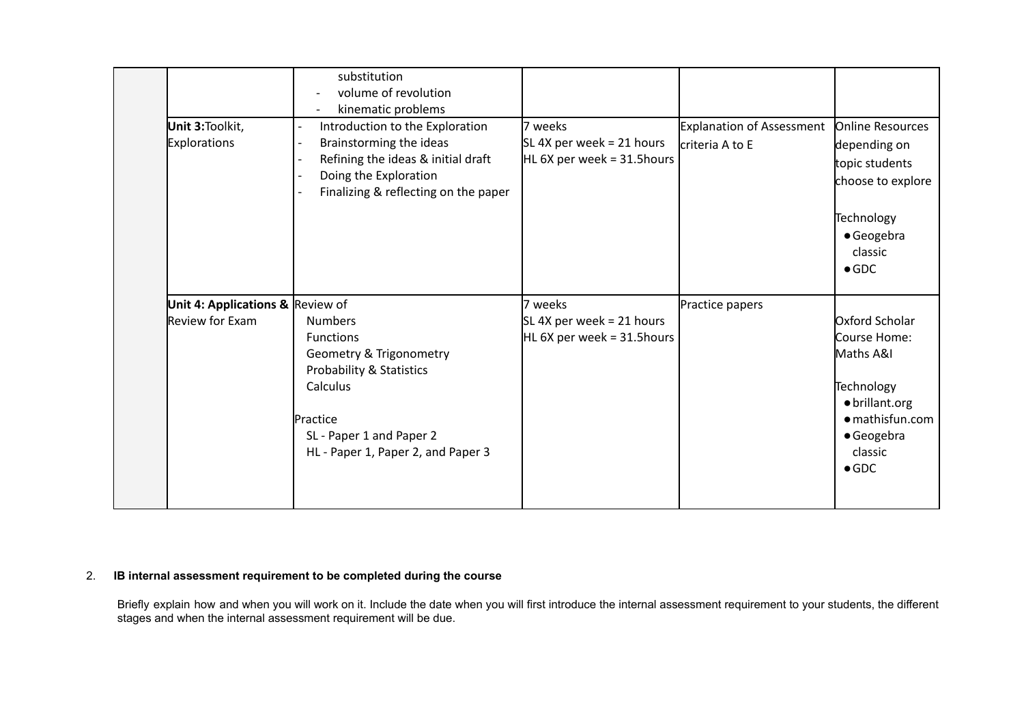|                                        | substitution<br>volume of revolution<br>kinematic problems                                                                                                                          |                                                                       |                                              |                                                                                                                                          |
|----------------------------------------|-------------------------------------------------------------------------------------------------------------------------------------------------------------------------------------|-----------------------------------------------------------------------|----------------------------------------------|------------------------------------------------------------------------------------------------------------------------------------------|
| Unit 3:Toolkit,<br><b>Explorations</b> | Introduction to the Exploration<br>Brainstorming the ideas<br>Refining the ideas & initial draft<br>Doing the Exploration<br>Finalizing & reflecting on the paper                   | 7 weeks<br>SL 4X per week = 21 hours<br>$HL$ 6X per week = 31.5 hours | Explanation of Assessment<br>criteria A to E | Online Resources<br>depending on<br>topic students<br>choose to explore<br>Technology<br>· Geogebra<br>classic<br>$\bullet$ GDC          |
| Unit 4: Applications & Review of       |                                                                                                                                                                                     | 7 weeks                                                               | Practice papers                              |                                                                                                                                          |
| Review for Exam                        | <b>Numbers</b><br><b>Functions</b><br>Geometry & Trigonometry<br>Probability & Statistics<br>Calculus<br>Practice<br>SL - Paper 1 and Paper 2<br>HL - Paper 1, Paper 2, and Paper 3 | SL 4X per week = 21 hours<br>HL 6X per week = $31.5$ hours            |                                              | Oxford Scholar<br>Course Home:<br>Maths A&I<br>Technology<br>· brillant.org<br>• mathisfun.com<br>· Geogebra<br>classic<br>$\bullet$ GDC |

# 2. **IB internal assessment requirement to be completed during the course**

Briefly explain how and when you will work on it. Include the date when you will first introduce the internal assessment requirement to your students, the different stages and when the internal assessment requirement will be due.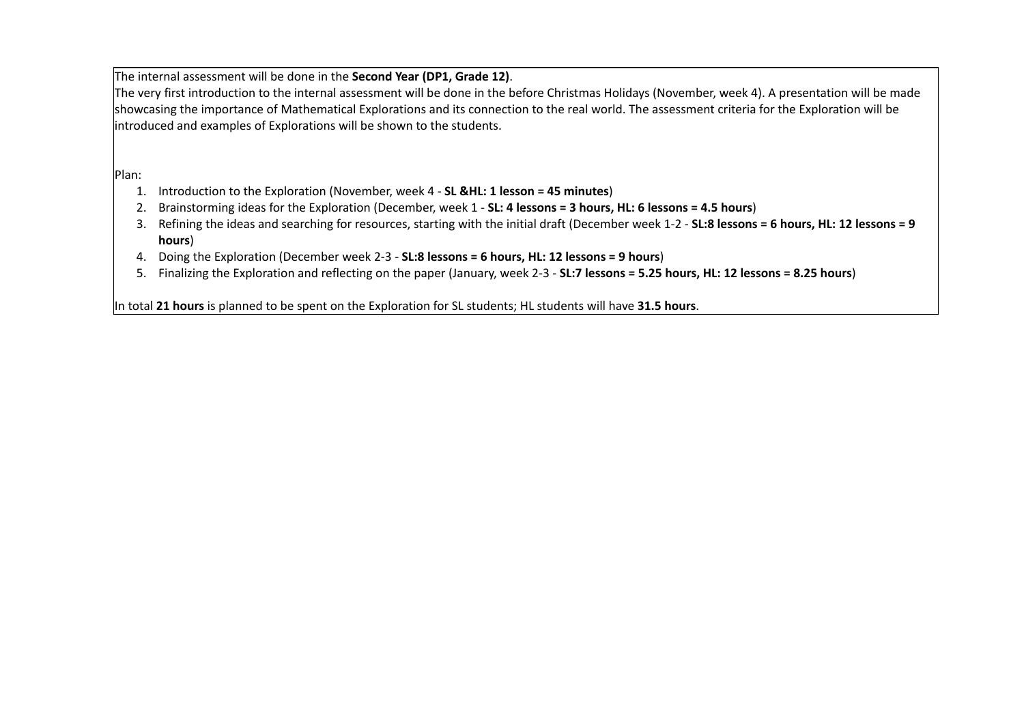The internal assessment will be done in the **Second Year (DP1, Grade 12)**.

The very first introduction to the internal assessment will be done in the before Christmas Holidays (November, week 4). A presentation will be made showcasing the importance of Mathematical Explorations and its connection to the real world. The assessment criteria for the Exploration will be introduced and examples of Explorations will be shown to the students.

Plan:

- 1. Introduction to the Exploration (November, week 4 **SL &HL: 1 lesson = 45 minutes**)
- 2. Brainstorming ideas for the Exploration (December, week 1 **SL: 4 lessons = 3 hours, HL: 6 lessons = 4.5 hours**)
- 3. Refining the ideas and searching for resources, starting with the initial draft (December week 1-2 **SL:8 lessons = 6 hours, HL: 12 lessons = 9 hours**)
- 4. Doing the Exploration (December week 2-3 **SL:8 lessons = 6 hours, HL: 12 lessons = 9 hours**)
- 5. Finalizing the Exploration and reflecting on the paper (January, week 2-3 **SL:7 lessons = 5.25 hours, HL: 12 lessons = 8.25 hours**)

In total **21 hours** is planned to be spent on the Exploration for SL students; HL students will have **31.5 hours**.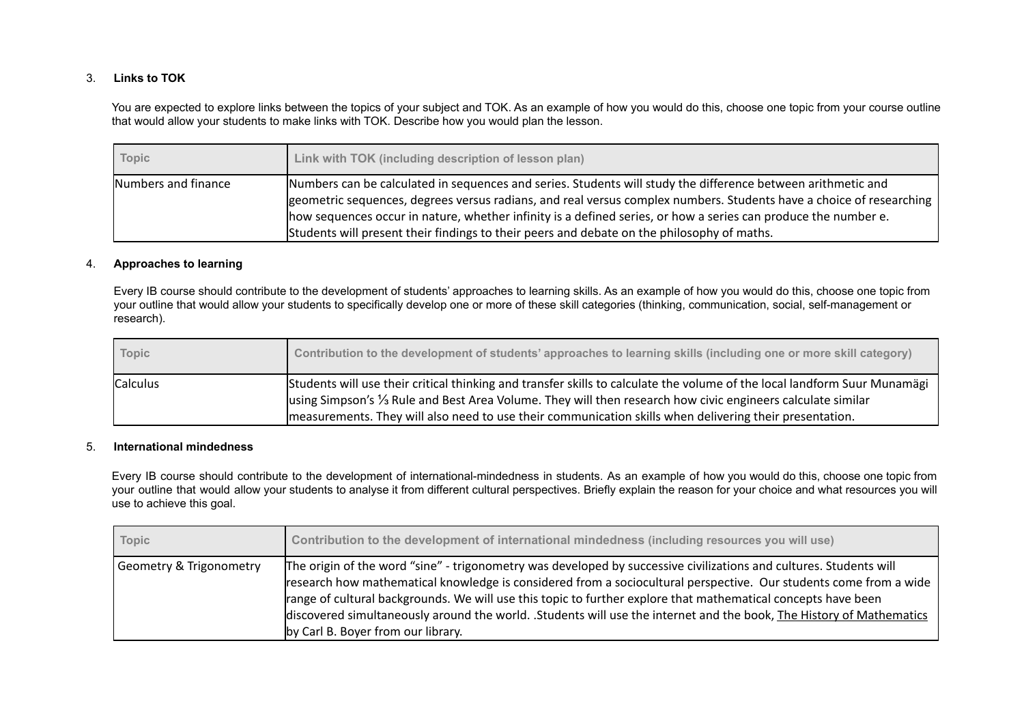## 3. **Links to TOK**

You are expected to explore links between the topics of your subject and TOK. As an example of how you would do this, choose one topic from your course outline that would allow your students to make links with TOK. Describe how you would plan the lesson.

| <b>Topic</b>        | Link with TOK (including description of lesson plan)                                                                                                                                                                                                                                                                                                                                                                                                |
|---------------------|-----------------------------------------------------------------------------------------------------------------------------------------------------------------------------------------------------------------------------------------------------------------------------------------------------------------------------------------------------------------------------------------------------------------------------------------------------|
| Numbers and finance | Numbers can be calculated in sequences and series. Students will study the difference between arithmetic and<br>geometric sequences, degrees versus radians, and real versus complex numbers. Students have a choice of researching<br>how sequences occur in nature, whether infinity is a defined series, or how a series can produce the number e.<br>Students will present their findings to their peers and debate on the philosophy of maths. |

## 4. **Approaches to learning**

Every IB course should contribute to the development of students' approaches to learning skills. As an example of how you would do this, choose one topic from your outline that would allow your students to specifically develop one or more of these skill categories (thinking, communication, social, self-management or research).

| <b>Topic</b> | Contribution to the development of students' approaches to learning skills (including one or more skill category)                                                                                                                                                                                                                                    |
|--------------|------------------------------------------------------------------------------------------------------------------------------------------------------------------------------------------------------------------------------------------------------------------------------------------------------------------------------------------------------|
| Calculus     | Students will use their critical thinking and transfer skills to calculate the volume of the local landform Suur Munamägi<br>using Simpson's 1/3 Rule and Best Area Volume. They will then research how civic engineers calculate similar<br>measurements. They will also need to use their communication skills when delivering their presentation. |

### 5. **International mindedness**

Every IB course should contribute to the development of international-mindedness in students. As an example of how you would do this, choose one topic from your outline that would allow your students to analyse it from different cultural perspectives. Briefly explain the reason for your choice and what resources you will use to achieve this goal.

| Topic                   | Contribution to the development of international mindedness (including resources you will use)                                                                                                                                                                                                                                                                                                                                                                                                                         |
|-------------------------|------------------------------------------------------------------------------------------------------------------------------------------------------------------------------------------------------------------------------------------------------------------------------------------------------------------------------------------------------------------------------------------------------------------------------------------------------------------------------------------------------------------------|
| Geometry & Trigonometry | The origin of the word "sine" - trigonometry was developed by successive civilizations and cultures. Students will<br>research how mathematical knowledge is considered from a sociocultural perspective. Our students come from a wide<br>range of cultural backgrounds. We will use this topic to further explore that mathematical concepts have been<br>discovered simultaneously around the world. .Students will use the internet and the book, The History of Mathematics<br>by Carl B. Boyer from our library. |